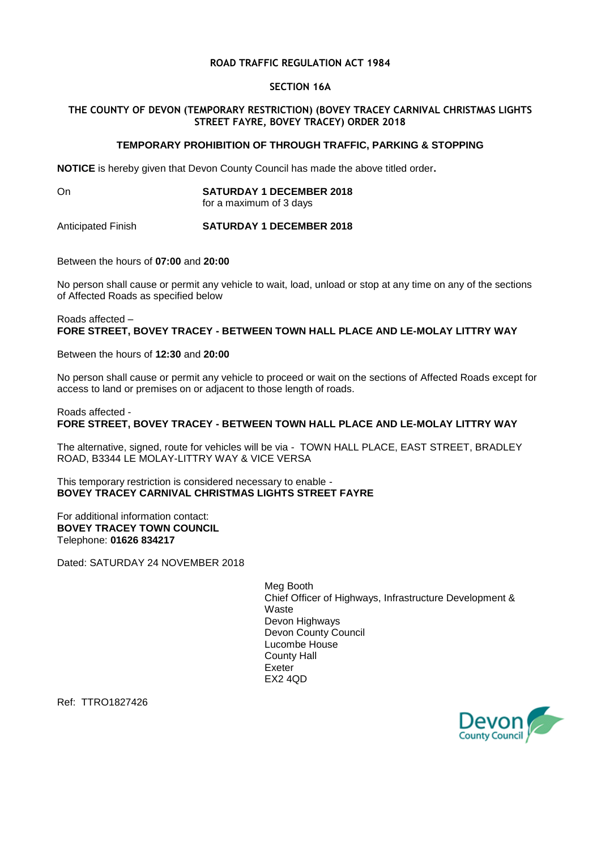# **ROAD TRAFFIC REGULATION ACT 1984**

# **SECTION 16A**

# **THE COUNTY OF DEVON (TEMPORARY RESTRICTION) (BOVEY TRACEY CARNIVAL CHRISTMAS LIGHTS STREET FAYRE, BOVEY TRACEY) ORDER 2018**

# **TEMPORARY PROHIBITION OF THROUGH TRAFFIC, PARKING & STOPPING**

**NOTICE** is hereby given that Devon County Council has made the above titled order**.**

#### On **SATURDAY 1 DECEMBER 2018** for a maximum of 3 days

Anticipated Finish **SATURDAY 1 DECEMBER 2018**

Between the hours of **07:00** and **20:00**

No person shall cause or permit any vehicle to wait, load, unload or stop at any time on any of the sections of Affected Roads as specified below

Roads affected – **FORE STREET, BOVEY TRACEY - BETWEEN TOWN HALL PLACE AND LE-MOLAY LITTRY WAY** 

Between the hours of **12:30** and **20:00**

No person shall cause or permit any vehicle to proceed or wait on the sections of Affected Roads except for access to land or premises on or adjacent to those length of roads.

Roads affected -

**FORE STREET, BOVEY TRACEY - BETWEEN TOWN HALL PLACE AND LE-MOLAY LITTRY WAY**

The alternative, signed, route for vehicles will be via - TOWN HALL PLACE, EAST STREET, BRADLEY ROAD, B3344 LE MOLAY-LITTRY WAY & VICE VERSA

This temporary restriction is considered necessary to enable - **BOVEY TRACEY CARNIVAL CHRISTMAS LIGHTS STREET FAYRE**

For additional information contact: **BOVEY TRACEY TOWN COUNCIL** Telephone: **01626 834217**

Dated: SATURDAY 24 NOVEMBER 2018

Meg Booth Chief Officer of Highways, Infrastructure Development & Waste Devon Highways Devon County Council Lucombe House County Hall Exeter EX2 4QD

Ref: TTRO1827426